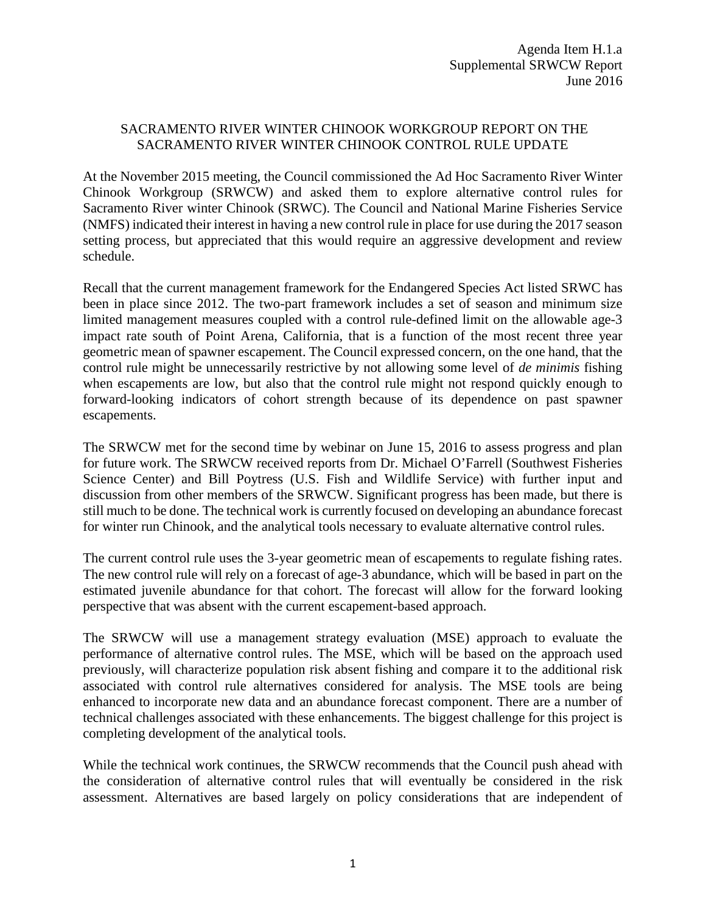## SACRAMENTO RIVER WINTER CHINOOK WORKGROUP REPORT ON THE SACRAMENTO RIVER WINTER CHINOOK CONTROL RULE UPDATE

At the November 2015 meeting, the Council commissioned the Ad Hoc Sacramento River Winter Chinook Workgroup (SRWCW) and asked them to explore alternative control rules for Sacramento River winter Chinook (SRWC). The Council and National Marine Fisheries Service (NMFS) indicated their interest in having a new control rule in place for use during the 2017 season setting process, but appreciated that this would require an aggressive development and review schedule.

Recall that the current management framework for the Endangered Species Act listed SRWC has been in place since 2012. The two-part framework includes a set of season and minimum size limited management measures coupled with a control rule-defined limit on the allowable age-3 impact rate south of Point Arena, California, that is a function of the most recent three year geometric mean of spawner escapement. The Council expressed concern, on the one hand, that the control rule might be unnecessarily restrictive by not allowing some level of *de minimis* fishing when escapements are low, but also that the control rule might not respond quickly enough to forward-looking indicators of cohort strength because of its dependence on past spawner escapements.

The SRWCW met for the second time by webinar on June 15, 2016 to assess progress and plan for future work. The SRWCW received reports from Dr. Michael O'Farrell (Southwest Fisheries Science Center) and Bill Poytress (U.S. Fish and Wildlife Service) with further input and discussion from other members of the SRWCW. Significant progress has been made, but there is still much to be done. The technical work is currently focused on developing an abundance forecast for winter run Chinook, and the analytical tools necessary to evaluate alternative control rules.

The current control rule uses the 3-year geometric mean of escapements to regulate fishing rates. The new control rule will rely on a forecast of age-3 abundance, which will be based in part on the estimated juvenile abundance for that cohort. The forecast will allow for the forward looking perspective that was absent with the current escapement-based approach.

The SRWCW will use a management strategy evaluation (MSE) approach to evaluate the performance of alternative control rules. The MSE, which will be based on the approach used previously, will characterize population risk absent fishing and compare it to the additional risk associated with control rule alternatives considered for analysis. The MSE tools are being enhanced to incorporate new data and an abundance forecast component. There are a number of technical challenges associated with these enhancements. The biggest challenge for this project is completing development of the analytical tools.

While the technical work continues, the SRWCW recommends that the Council push ahead with the consideration of alternative control rules that will eventually be considered in the risk assessment. Alternatives are based largely on policy considerations that are independent of